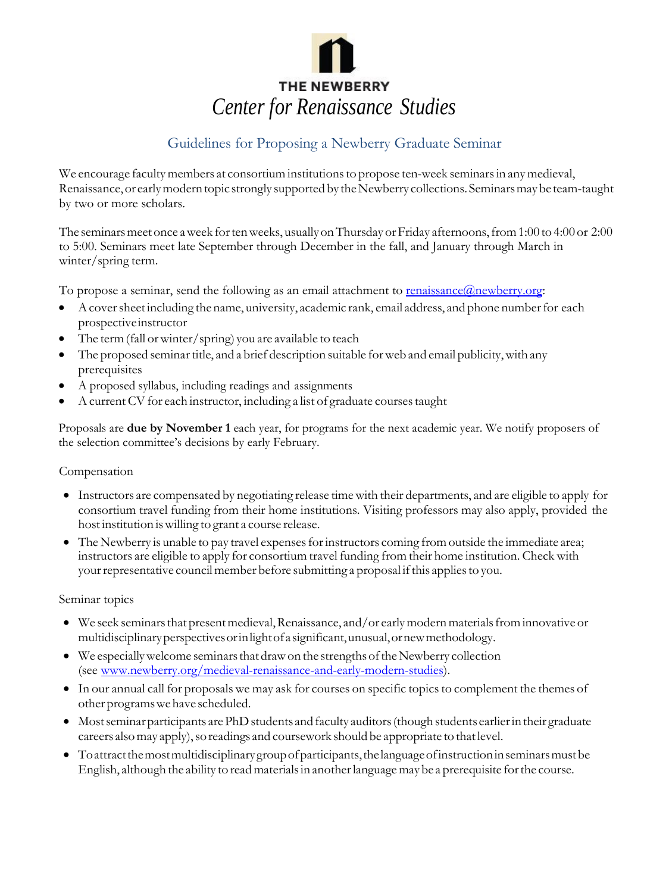

# Guidelines for Proposing a Newberry Graduate Seminar

We encourage faculty members at consortium institutions to propose ten-week seminars in any medieval, Renaissance, or early modern topic strongly supported by the Newberry collections. Seminars may be team-taught by two or more scholars.

The seminars meet once a week for ten weeks, usually on Thursday or Friday afternoons, from 1:00 to 4:00 or 2:00 to 5:00. Seminars meet late September through December in the fall, and January through March in winter/spring term.

To propose a seminar, send the following as an email attachment to [renaissance@newberry.org:](mailto:renaissance@newberry.org)

- A cover sheet including the name, university, academic rank, email address, and phone number for each prospectiveinstructor
- The term (fall or winter/spring) you are available to teach
- The proposed seminar title, and a brief description suitable for web and email publicity, with any prerequisites
- A proposed syllabus, including readings and assignments
- A current CV for each instructor, including a list of graduate courses taught

Proposals are **due by November 1** each year, for programs for the next academic year. We notify proposers of the selection committee's decisions by early February.

# Compensation

- Instructors are compensated by negotiating release timewith their departments, and are eligible to apply for consortium travel funding from their home institutions. Visiting professors may also apply, provided the hostinstitution iswilling to grant a course release.
- The Newberry is unable to pay travel expenses for instructors coming from outside the immediate area; instructors are eligible to apply for consortium travel funding from their home institution. Check with your representative council member before submitting a proposal if this applies to you.

# Seminar topics

- We seek seminars that present medieval, Renaissance, and/or early modern materials from innovative or multidisciplinaryperspectivesorinlightofa significant,unusual,ornewmethodology.
- $\bullet$  We especially welcome seminars that draw on the strengths of the Newberry collection (see [www.newberry.org/medieval-renaissance-and-early-modern-studies\)](http://www.newberry.org/medieval-renaissance-and-early-modern-studies).
- In our annual call for proposals we may ask for courses on specific topics to complement the themes of otherprogramswehave scheduled.
- Most seminar participants are PhD students and faculty auditors (though students earlier in their graduate careers also may apply), so readings and coursework should be appropriate to that level.
- To attract the most multidisciplinary group of participants, the language of instruction in seminars must be English, although the ability to read materials in another language may be a prerequisite for the course.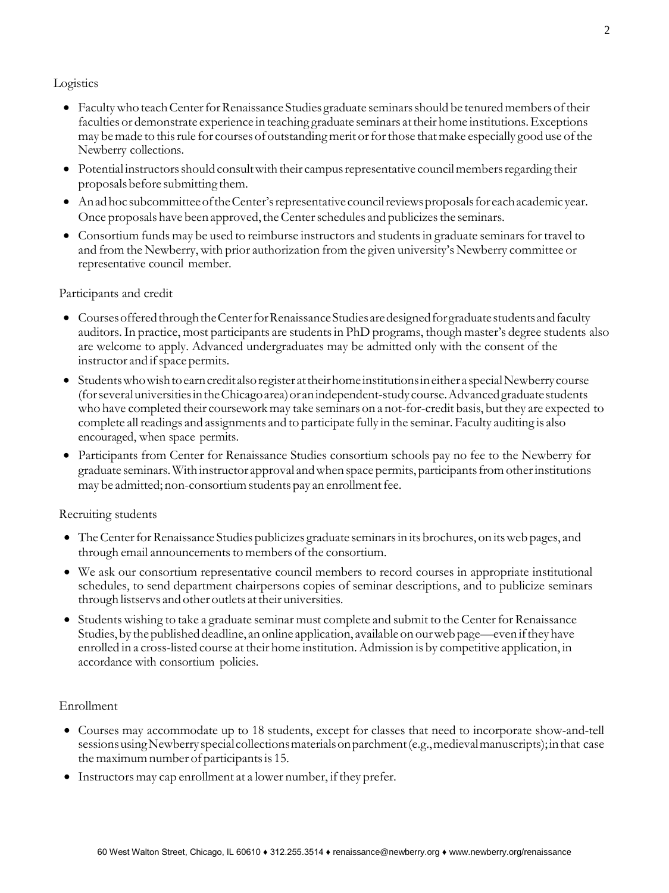## Logistics

- Faculty who teach Center for Renaissance Studies graduate seminars should be tenured members of their faculties or demonstrate experience in teaching graduate seminars attheir home institutions.Exceptions may be made to this rule for courses of outstanding merit or for those that make especially good use of the Newberry collections.
- Potential instructors should consult with their campus representative council members regarding their proposalsbefore submitting them.
- Anadhoc subcommitteeoftheCenter'srepresentative councilreviewsproposalsfor eachacademic year. Once proposals have been approved, the Center schedules and publicizes the seminars.
- Consortium funds may be used to reimburse instructors and students in graduate seminars for travel to and from the Newberry, with prior authorization from the given university's Newberry committee or representative council member.

## Participants and credit

- Courses offered through the Center for Renaissance Studies are designed for graduate students and faculty auditors. In practice, most participants are studentsin PhD programs, though master's degree students also are welcome to apply. Advanced undergraduates may be admitted only with the consent of the instructor and if space permits.
- Studentswhowishtoearncredit alsoregister attheirhome institutionsineither a specialNewberry course (forseveraluniversitiesintheChicagoarea)oranindependent-studycourse.Advancedgraduatestudents who have completed their courseworkmay take seminars on a not-for-credit basis, but they are expected to complete all readings and assignments and to participate fully in the seminar. Faculty auditing is also encouraged, when space permits.
- Participants from Center for Renaissance Studies consortium schools pay no fee to the Newberry for graduate seminars.With instructor approval andwhen space permits, participantsfromotherinstitutions may be admitted; non-consortium students pay an enrollment fee.

## Recruiting students

- The Center for Renaissance Studies publicizes graduate seminars in its brochures, on its web pages, and through email announcements to members of the consortium.
- We ask our consortium representative council members to record courses in appropriate institutional schedules, to send department chairpersons copies of seminar descriptions, and to publicize seminars through listservs and other outlets at their universities.
- Students wishing to take a graduate seminar must complete and submit to the Center for Renaissance Studies, by the published deadline, an online application, available on our web page—even if they have enrolled in a cross-listed course at their home institution. Admission is by competitive application, in accordance with consortium policies.

## Enrollment

- Courses may accommodate up to 18 students, except for classes that need to incorporate show-and-tell sessionsusingNewberryspecialcollectionsmaterialsonparchment(e.g.,medievalmanuscripts);inthat case the maximum number of participants is 15.
- $\bullet$  Instructors may cap enrollment at a lower number, if they prefer.